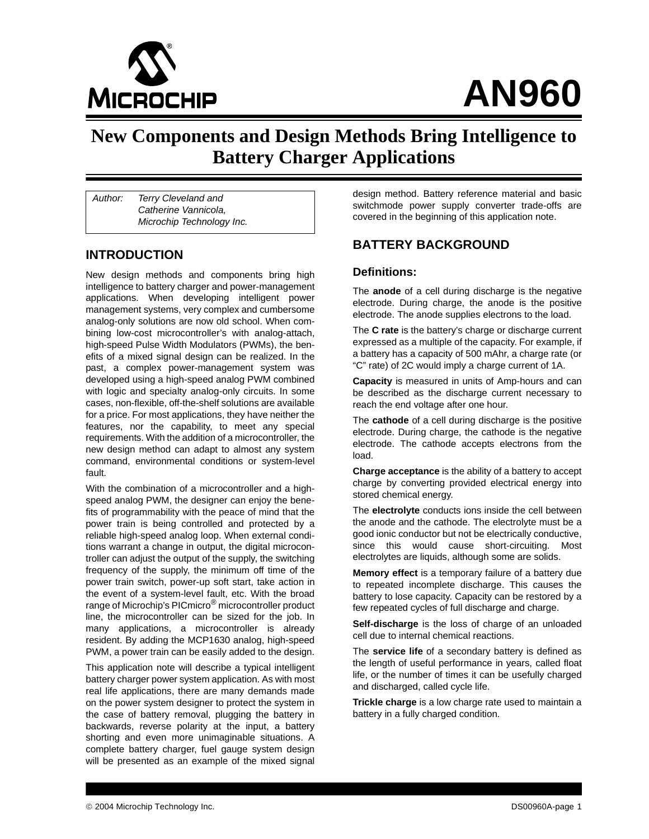

# **AN960**

## **New Components and Design Methods Bring Intelligence to Battery Charger Applications**

Author: Terry Cleveland and Catherine Vannicola, Microchip Technology Inc.

#### **INTRODUCTION**

New design methods and components bring high intelligence to battery charger and power-management applications. When developing intelligent power management systems, very complex and cumbersome analog-only solutions are now old school. When combining low-cost microcontroller's with analog-attach, high-speed Pulse Width Modulators (PWMs), the benefits of a mixed signal design can be realized. In the past, a complex power-management system was developed using a high-speed analog PWM combined with logic and specialty analog-only circuits. In some cases, non-flexible, off-the-shelf solutions are available for a price. For most applications, they have neither the features, nor the capability, to meet any special requirements. With the addition of a microcontroller, the new design method can adapt to almost any system command, environmental conditions or system-level fault.

With the combination of a microcontroller and a highspeed analog PWM, the designer can enjoy the benefits of programmability with the peace of mind that the power train is being controlled and protected by a reliable high-speed analog loop. When external conditions warrant a change in output, the digital microcontroller can adjust the output of the supply, the switching frequency of the supply, the minimum off time of the power train switch, power-up soft start, take action in the event of a system-level fault, etc. With the broad range of Microchip's PICmicro<sup>®</sup> microcontroller product line, the microcontroller can be sized for the job. In many applications, a microcontroller is already resident. By adding the MCP1630 analog, high-speed PWM, a power train can be easily added to the design.

This application note will describe a typical intelligent battery charger power system application. As with most real life applications, there are many demands made on the power system designer to protect the system in the case of battery removal, plugging the battery in backwards, reverse polarity at the input, a battery shorting and even more unimaginable situations. A complete battery charger, fuel gauge system design will be presented as an example of the mixed signal

design method. Battery reference material and basic switchmode power supply converter trade-offs are covered in the beginning of this application note.

#### **BATTERY BACKGROUND**

#### **Definitions:**

The **anode** of a cell during discharge is the negative electrode. During charge, the anode is the positive electrode. The anode supplies electrons to the load.

The **C rate** is the battery's charge or discharge current expressed as a multiple of the capacity. For example, if a battery has a capacity of 500 mAhr, a charge rate (or "C" rate) of 2C would imply a charge current of 1A.

**Capacity** is measured in units of Amp-hours and can be described as the discharge current necessary to reach the end voltage after one hour.

The **cathode** of a cell during discharge is the positive electrode. During charge, the cathode is the negative electrode. The cathode accepts electrons from the load.

**Charge acceptance** is the ability of a battery to accept charge by converting provided electrical energy into stored chemical energy.

The **electrolyte** conducts ions inside the cell between the anode and the cathode. The electrolyte must be a good ionic conductor but not be electrically conductive, since this would cause short-circuiting. Most electrolytes are liquids, although some are solids.

**Memory effect** is a temporary failure of a battery due to repeated incomplete discharge. This causes the battery to lose capacity. Capacity can be restored by a few repeated cycles of full discharge and charge.

**Self-discharge** is the loss of charge of an unloaded cell due to internal chemical reactions.

The **service life** of a secondary battery is defined as the length of useful performance in years, called float life, or the number of times it can be usefully charged and discharged, called cycle life.

**Trickle charge** is a low charge rate used to maintain a battery in a fully charged condition.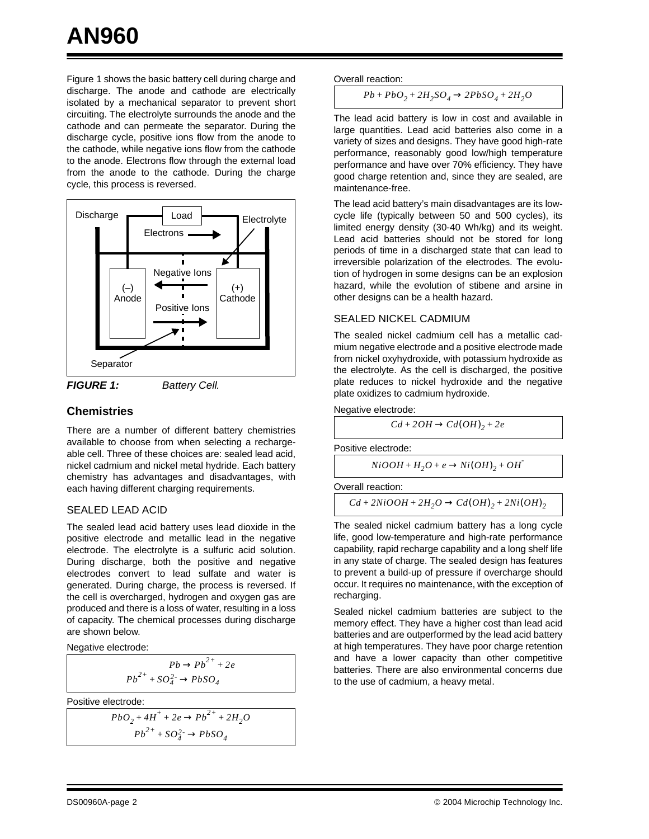[Figure 1](#page-1-0) shows the basic battery cell during charge and discharge. The anode and cathode are electrically isolated by a mechanical separator to prevent short circuiting. The electrolyte surrounds the anode and the cathode and can permeate the separator. During the discharge cycle, positive ions flow from the anode to the cathode, while negative ions flow from the cathode to the anode. Electrons flow through the external load from the anode to the cathode. During the charge cycle, this process is reversed.



<span id="page-1-0"></span>

#### **Chemistries**

There are a number of different battery chemistries available to choose from when selecting a rechargeable cell. Three of these choices are: sealed lead acid, nickel cadmium and nickel metal hydride. Each battery chemistry has advantages and disadvantages, with each having different charging requirements.

#### SEALED LEAD ACID

The sealed lead acid battery uses lead dioxide in the positive electrode and metallic lead in the negative electrode. The electrolyte is a sulfuric acid solution. During discharge, both the positive and negative electrodes convert to lead sulfate and water is generated. During charge, the process is reversed. If the cell is overcharged, hydrogen and oxygen gas are produced and there is a loss of water, resulting in a loss of capacity. The chemical processes during discharge are shown below.

Negative electrode:

 $Pb \to Pb^{2+} + 2e$  $Pb^{2+}$  +  $SO_4^{2-}$   $\rightarrow PbSO_4$ 

Positive electrode:

 $PbO_2 + 4H^+ + 2e \rightarrow Pb^{2+} + 2H_2O$  $Pb^{2+} + SO_4^2 \rightarrow PbSO_4$ 

Overall reaction:

 $Pb + PbO<sub>2</sub> + 2H<sub>2</sub>SO<sub>4</sub> \rightarrow 2PbSO<sub>4</sub> + 2H<sub>2</sub>O$ 

The lead acid battery is low in cost and available in large quantities. Lead acid batteries also come in a variety of sizes and designs. They have good high-rate performance, reasonably good low/high temperature performance and have over 70% efficiency. They have good charge retention and, since they are sealed, are maintenance-free.

The lead acid battery's main disadvantages are its lowcycle life (typically between 50 and 500 cycles), its limited energy density (30-40 Wh/kg) and its weight. Lead acid batteries should not be stored for long periods of time in a discharged state that can lead to irreversible polarization of the electrodes. The evolution of hydrogen in some designs can be an explosion hazard, while the evolution of stibene and arsine in other designs can be a health hazard.

#### SEALED NICKEL CADMIUM

The sealed nickel cadmium cell has a metallic cadmium negative electrode and a positive electrode made from nickel oxyhydroxide, with potassium hydroxide as the electrolyte. As the cell is discharged, the positive plate reduces to nickel hydroxide and the negative plate oxidizes to cadmium hydroxide.

Negative electrode:

$$
Cd + 2OH \rightarrow Cd(OH)_2 + 2e
$$

Positive electrode:

$$
NiOOH + H_2O + e \rightarrow Ni(OH)_2 + OH
$$

Overall reaction:

$$
Cd + 2NiOOH + 2H2O \rightarrow Cd(OH)2 + 2Ni(OH)2
$$

The sealed nickel cadmium battery has a long cycle life, good low-temperature and high-rate performance capability, rapid recharge capability and a long shelf life in any state of charge. The sealed design has features to prevent a build-up of pressure if overcharge should occur. It requires no maintenance, with the exception of recharging.

Sealed nickel cadmium batteries are subject to the memory effect. They have a higher cost than lead acid batteries and are outperformed by the lead acid battery at high temperatures. They have poor charge retention and have a lower capacity than other competitive batteries. There are also environmental concerns due to the use of cadmium, a heavy metal.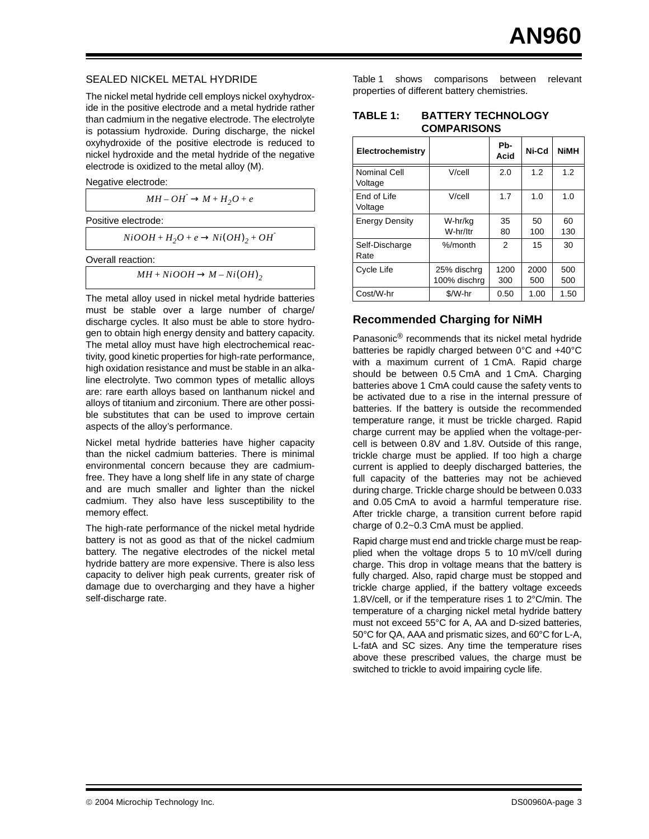#### SEALED NICKEL METAL HYDRIDE

The nickel metal hydride cell employs nickel oxyhydroxide in the positive electrode and a metal hydride rather than cadmium in the negative electrode. The electrolyte is potassium hydroxide. During discharge, the nickel oxyhydroxide of the positive electrode is reduced to nickel hydroxide and the metal hydride of the negative electrode is oxidized to the metal alloy (M).

Negative electrode:

 $MH-OH^{\dagger} \rightarrow M + H_2O + e$ 

Positive electrode:

 $NiOOH + H<sub>2</sub>O + e \rightarrow Ni(OH)<sub>2</sub> + OH<sup>-</sup>$ 

Overall reaction:

 $MH + NiOOH \rightarrow M - Ni(OH)$ <sub>2</sub>

The metal alloy used in nickel metal hydride batteries must be stable over a large number of charge/ discharge cycles. It also must be able to store hydrogen to obtain high energy density and battery capacity. The metal alloy must have high electrochemical reactivity, good kinetic properties for high-rate performance, high oxidation resistance and must be stable in an alkaline electrolyte. Two common types of metallic alloys are: rare earth alloys based on lanthanum nickel and alloys of titanium and zirconium. There are other possible substitutes that can be used to improve certain aspects of the alloy's performance.

Nickel metal hydride batteries have higher capacity than the nickel cadmium batteries. There is minimal environmental concern because they are cadmiumfree. They have a long shelf life in any state of charge and are much smaller and lighter than the nickel cadmium. They also have less susceptibility to the memory effect.

The high-rate performance of the nickel metal hydride battery is not as good as that of the nickel cadmium battery. The negative electrodes of the nickel metal hydride battery are more expensive. There is also less capacity to deliver high peak currents, greater risk of damage due to overcharging and they have a higher self-discharge rate.

[Table 1](#page-2-0) shows comparisons between relevant properties of different battery chemistries.

#### <span id="page-2-0"></span>**TABLE 1: BATTERY TECHNOLOGY COMPARISONS**

| Electrochemistry        |                             | Pb-<br>Acid   | Ni-Cd       | <b>NiMH</b> |
|-------------------------|-----------------------------|---------------|-------------|-------------|
| Nominal Cell<br>Voltage | $V$ / $cell$                | 2.0           | 1.2         | 1.2         |
| End of Life<br>Voltage  | $V$ / $cell$                | 1.7           | 1.0         | 1.0         |
| <b>Energy Density</b>   | W-hr/kg<br>W-hr/ltr         | 35<br>80      | 50<br>100   | 60<br>130   |
| Self-Discharge<br>Rate  | $%$ /month                  | $\mathcal{P}$ | 15          | 30          |
| Cycle Life              | 25% dischra<br>100% dischra | 1200<br>300   | 2000<br>500 | 500<br>500  |
| Cost/W-hr               | $$/W-hr$                    | 0.50          | 1.00        | 1.50        |

#### **Recommended Charging for NiMH**

Panasonic® recommends that its nickel metal hydride batteries be rapidly charged between 0°C and +40°C with a maximum current of 1 CmA. Rapid charge should be between 0.5 CmA and 1 CmA. Charging batteries above 1 CmA could cause the safety vents to be activated due to a rise in the internal pressure of batteries. If the battery is outside the recommended temperature range, it must be trickle charged. Rapid charge current may be applied when the voltage-percell is between 0.8V and 1.8V. Outside of this range, trickle charge must be applied. If too high a charge current is applied to deeply discharged batteries, the full capacity of the batteries may not be achieved during charge. Trickle charge should be between 0.033 and 0.05 CmA to avoid a harmful temperature rise. After trickle charge, a transition current before rapid charge of 0.2~0.3 CmA must be applied.

Rapid charge must end and trickle charge must be reapplied when the voltage drops 5 to 10 mV/cell during charge. This drop in voltage means that the battery is fully charged. Also, rapid charge must be stopped and trickle charge applied, if the battery voltage exceeds 1.8V/cell, or if the temperature rises 1 to 2°C/min. The temperature of a charging nickel metal hydride battery must not exceed 55°C for A, AA and D-sized batteries, 50°C for QA, AAA and prismatic sizes, and 60°C for L-A, L-fatA and SC sizes. Any time the temperature rises above these prescribed values, the charge must be switched to trickle to avoid impairing cycle life.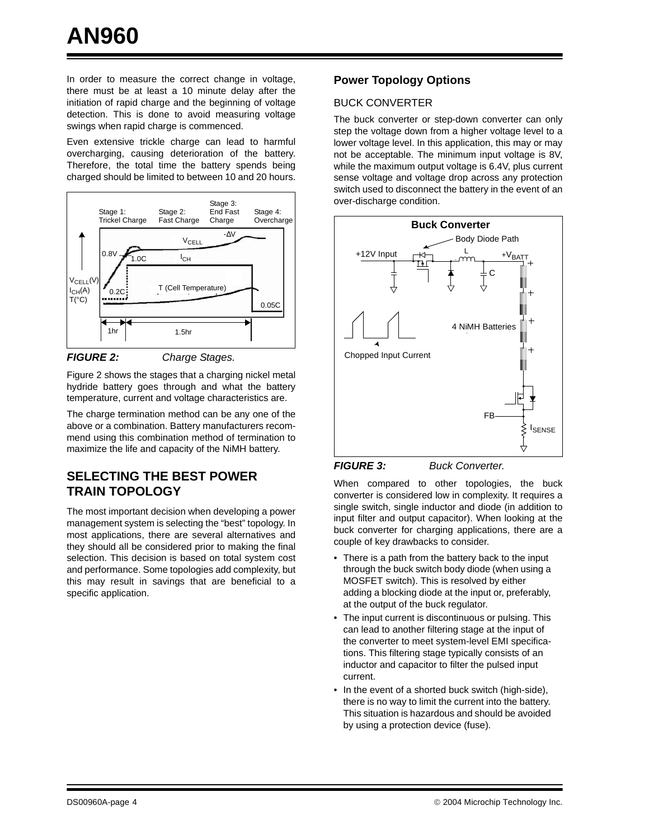In order to measure the correct change in voltage, there must be at least a 10 minute delay after the initiation of rapid charge and the beginning of voltage detection. This is done to avoid measuring voltage swings when rapid charge is commenced.

Even extensive trickle charge can lead to harmful overcharging, causing deterioration of the battery. Therefore, the total time the battery spends being charged should be limited to between 10 and 20 hours.



<span id="page-3-0"></span>**FIGURE 2:** Charge Stages.

[Figure 2](#page-3-0) shows the stages that a charging nickel metal hydride battery goes through and what the battery temperature, current and voltage characteristics are.

The charge termination method can be any one of the above or a combination. Battery manufacturers recommend using this combination method of termination to maximize the life and capacity of the NiMH battery.

#### **SELECTING THE BEST POWER TRAIN TOPOLOGY**

The most important decision when developing a power management system is selecting the "best" topology. In most applications, there are several alternatives and they should all be considered prior to making the final selection. This decision is based on total system cost and performance. Some topologies add complexity, but this may result in savings that are beneficial to a specific application.

#### **Power Topology Options**

#### BUCK CONVERTER

The buck converter or step-down converter can only step the voltage down from a higher voltage level to a lower voltage level. In this application, this may or may not be acceptable. The minimum input voltage is 8V, while the maximum output voltage is 6.4V, plus current sense voltage and voltage drop across any protection switch used to disconnect the battery in the event of an over-discharge condition.





When compared to other topologies, the buck converter is considered low in complexity. It requires a single switch, single inductor and diode (in addition to input filter and output capacitor). When looking at the buck converter for charging applications, there are a couple of key drawbacks to consider.

- There is a path from the battery back to the input through the buck switch body diode (when using a MOSFET switch). This is resolved by either adding a blocking diode at the input or, preferably, at the output of the buck regulator.
- The input current is discontinuous or pulsing. This can lead to another filtering stage at the input of the converter to meet system-level EMI specifications. This filtering stage typically consists of an inductor and capacitor to filter the pulsed input current.
- In the event of a shorted buck switch (high-side), there is no way to limit the current into the battery. This situation is hazardous and should be avoided by using a protection device (fuse).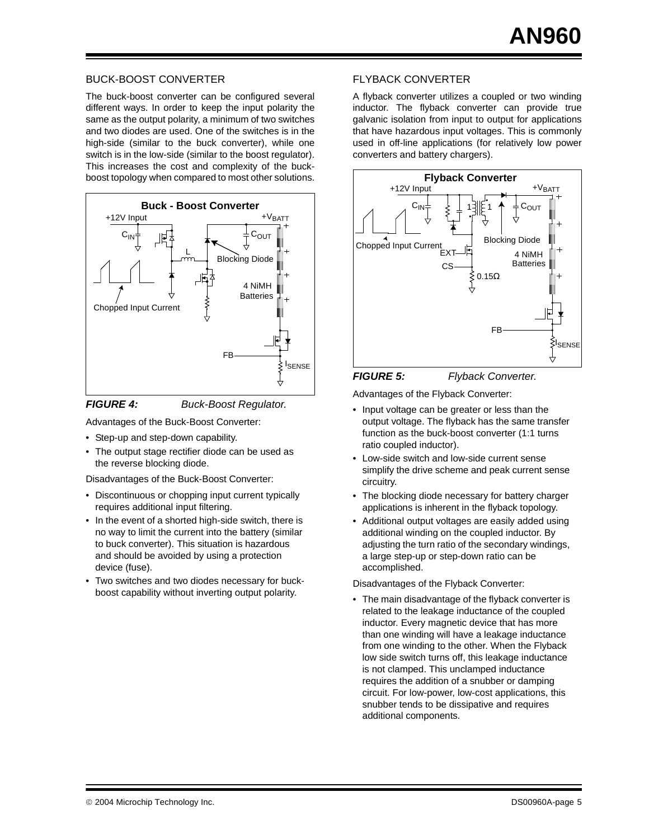#### BUCK-BOOST CONVERTER

The buck-boost converter can be configured several different ways. In order to keep the input polarity the same as the output polarity, a minimum of two switches and two diodes are used. One of the switches is in the high-side (similar to the buck converter), while one switch is in the low-side (similar to the boost regulator). This increases the cost and complexity of the buckboost topology when compared to most other solutions.





Advantages of the Buck-Boost Converter:

- Step-up and step-down capability.
- The output stage rectifier diode can be used as the reverse blocking diode.

Disadvantages of the Buck-Boost Converter:

- Discontinuous or chopping input current typically requires additional input filtering.
- In the event of a shorted high-side switch, there is no way to limit the current into the battery (similar to buck converter). This situation is hazardous and should be avoided by using a protection device (fuse).
- Two switches and two diodes necessary for buckboost capability without inverting output polarity.

#### FLYBACK CONVERTER

A flyback converter utilizes a coupled or two winding inductor. The flyback converter can provide true galvanic isolation from input to output for applications that have hazardous input voltages. This is commonly used in off-line applications (for relatively low power converters and battery chargers).



#### FIGURE 5: Flyback Converter.

Advantages of the Flyback Converter:

- Input voltage can be greater or less than the output voltage. The flyback has the same transfer function as the buck-boost converter (1:1 turns ratio coupled inductor).
- Low-side switch and low-side current sense simplify the drive scheme and peak current sense circuitry.
- The blocking diode necessary for battery charger applications is inherent in the flyback topology.
- Additional output voltages are easily added using additional winding on the coupled inductor. By adjusting the turn ratio of the secondary windings, a large step-up or step-down ratio can be accomplished.

Disadvantages of the Flyback Converter:

• The main disadvantage of the flyback converter is related to the leakage inductance of the coupled inductor. Every magnetic device that has more than one winding will have a leakage inductance from one winding to the other. When the Flyback low side switch turns off, this leakage inductance is not clamped. This unclamped inductance requires the addition of a snubber or damping circuit. For low-power, low-cost applications, this snubber tends to be dissipative and requires additional components.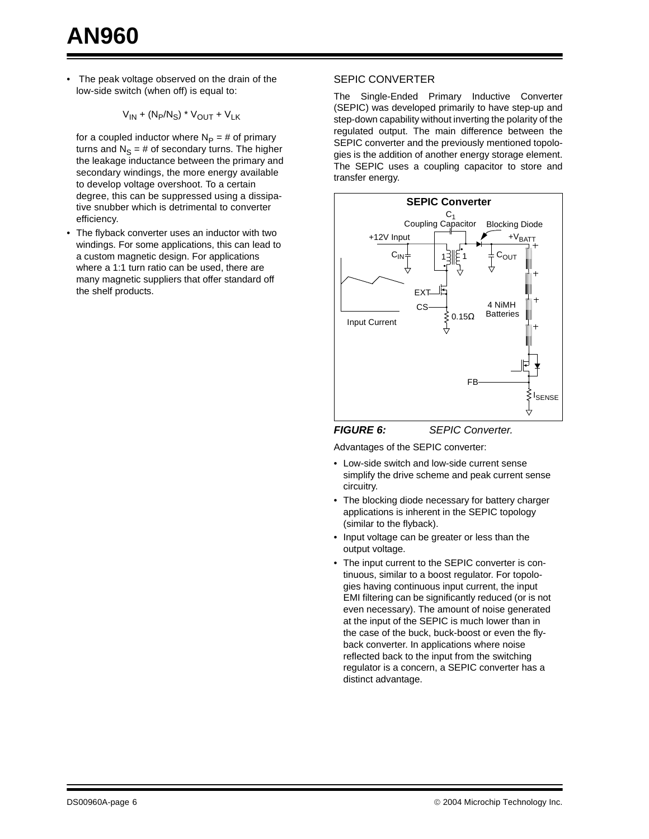The peak voltage observed on the drain of the low-side switch (when off) is equal to:

$$
\rm V_{\rm IN} + (N_P/N_S) \star V_{\rm OUT} + V_{\rm LK}
$$

for a coupled inductor where  $N_P = #$  of primary turns and  $N_S = #$  of secondary turns. The higher the leakage inductance between the primary and secondary windings, the more energy available to develop voltage overshoot. To a certain degree, this can be suppressed using a dissipative snubber which is detrimental to converter efficiency.

• The flyback converter uses an inductor with two windings. For some applications, this can lead to a custom magnetic design. For applications where a 1:1 turn ratio can be used, there are many magnetic suppliers that offer standard off the shelf products.

#### SEPIC CONVERTER

The Single-Ended Primary Inductive Converter (SEPIC) was developed primarily to have step-up and step-down capability without inverting the polarity of the regulated output. The main difference between the SEPIC converter and the previously mentioned topologies is the addition of another energy storage element. The SEPIC uses a coupling capacitor to store and transfer energy.



Advantages of the SEPIC converter:

- Low-side switch and low-side current sense simplify the drive scheme and peak current sense circuitry.
- The blocking diode necessary for battery charger applications is inherent in the SEPIC topology (similar to the flyback).
- Input voltage can be greater or less than the output voltage.
- The input current to the SEPIC converter is continuous, similar to a boost regulator. For topologies having continuous input current, the input EMI filtering can be significantly reduced (or is not even necessary). The amount of noise generated at the input of the SEPIC is much lower than in the case of the buck, buck-boost or even the flyback converter. In applications where noise reflected back to the input from the switching regulator is a concern, a SEPIC converter has a distinct advantage.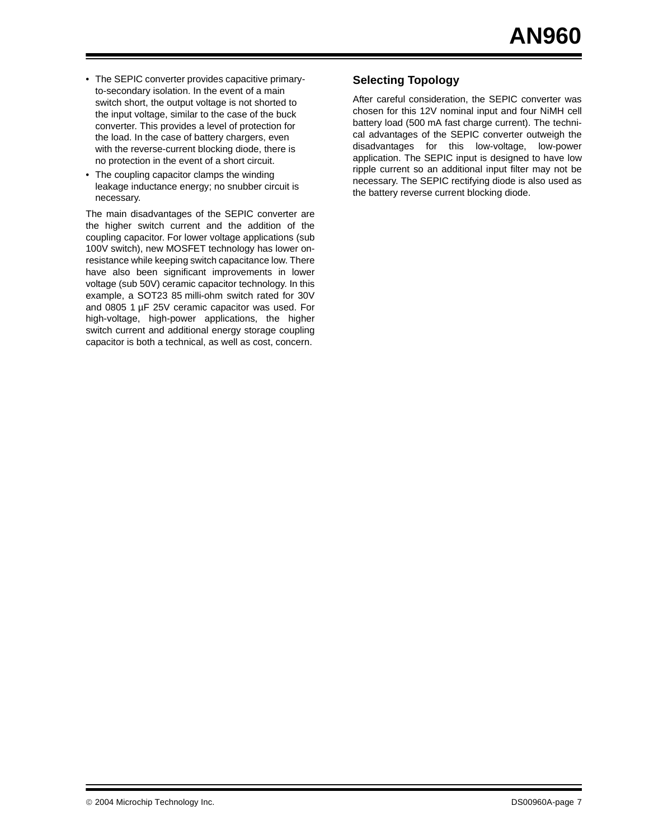- The SEPIC converter provides capacitive primaryto-secondary isolation. In the event of a main switch short, the output voltage is not shorted to the input voltage, similar to the case of the buck converter. This provides a level of protection for the load. In the case of battery chargers, even with the reverse-current blocking diode, there is no protection in the event of a short circuit.
- The coupling capacitor clamps the winding leakage inductance energy; no snubber circuit is necessary.

The main disadvantages of the SEPIC converter are the higher switch current and the addition of the coupling capacitor. For lower voltage applications (sub 100V switch), new MOSFET technology has lower onresistance while keeping switch capacitance low. There have also been significant improvements in lower voltage (sub 50V) ceramic capacitor technology. In this example, a SOT23 85 milli-ohm switch rated for 30V and 0805 1 µF 25V ceramic capacitor was used. For high-voltage, high-power applications, the higher switch current and additional energy storage coupling capacitor is both a technical, as well as cost, concern.

#### **Selecting Topology**

After careful consideration, the SEPIC converter was chosen for this 12V nominal input and four NiMH cell battery load (500 mA fast charge current). The technical advantages of the SEPIC converter outweigh the disadvantages for this low-voltage, low-power application. The SEPIC input is designed to have low ripple current so an additional input filter may not be necessary. The SEPIC rectifying diode is also used as the battery reverse current blocking diode.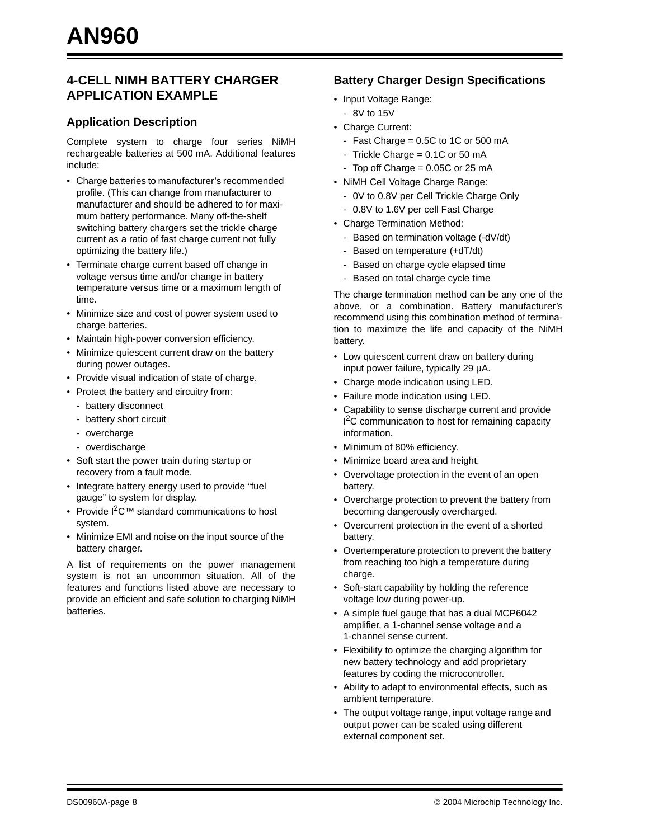#### **4-CELL NIMH BATTERY CHARGER APPLICATION EXAMPLE**

#### **Application Description**

Complete system to charge four series NiMH rechargeable batteries at 500 mA. Additional features include:

- Charge batteries to manufacturer's recommended profile. (This can change from manufacturer to manufacturer and should be adhered to for maximum battery performance. Many off-the-shelf switching battery chargers set the trickle charge current as a ratio of fast charge current not fully optimizing the battery life.)
- Terminate charge current based off change in voltage versus time and/or change in battery temperature versus time or a maximum length of time.
- Minimize size and cost of power system used to charge batteries.
- Maintain high-power conversion efficiency.
- Minimize quiescent current draw on the battery during power outages.
- Provide visual indication of state of charge.
- Protect the battery and circuitry from:
	- battery disconnect
	- battery short circuit
	- overcharge
	- overdischarge
- Soft start the power train during startup or recovery from a fault mode.
- Integrate battery energy used to provide "fuel gauge" to system for display.
- Provide I<sup>2</sup>C<sup>™</sup> standard communications to host system.
- Minimize EMI and noise on the input source of the battery charger.

A list of requirements on the power management system is not an uncommon situation. All of the features and functions listed above are necessary to provide an efficient and safe solution to charging NiMH batteries.

#### **Battery Charger Design Specifications**

- Input Voltage Range:
	- 8V to 15V
- Charge Current:
	- Fast Charge =  $0.5C$  to 1C or 500 mA
	- Trickle Charge = 0.1C or 50 mA
	- Top off Charge  $= 0.05C$  or 25 mA
- NiMH Cell Voltage Charge Range:
	- 0V to 0.8V per Cell Trickle Charge Only
	- 0.8V to 1.6V per cell Fast Charge
- Charge Termination Method:
	- Based on termination voltage (-dV/dt)
	- Based on temperature (+dT/dt)
	- Based on charge cycle elapsed time
	- Based on total charge cycle time

The charge termination method can be any one of the above, or a combination. Battery manufacturer's recommend using this combination method of termination to maximize the life and capacity of the NiMH battery.

- Low quiescent current draw on battery during input power failure, typically 29 µA.
- Charge mode indication using LED.
- Failure mode indication using LED.
- Capability to sense discharge current and provide <sup>2</sup>C communication to host for remaining capacity information.
- Minimum of 80% efficiency.
- Minimize board area and height.
- Overvoltage protection in the event of an open battery.
- Overcharge protection to prevent the battery from becoming dangerously overcharged.
- Overcurrent protection in the event of a shorted battery.
- Overtemperature protection to prevent the battery from reaching too high a temperature during charge.
- Soft-start capability by holding the reference voltage low during power-up.
- A simple fuel gauge that has a dual MCP6042 amplifier, a 1-channel sense voltage and a 1-channel sense current.
- Flexibility to optimize the charging algorithm for new battery technology and add proprietary features by coding the microcontroller.
- Ability to adapt to environmental effects, such as ambient temperature.
- The output voltage range, input voltage range and output power can be scaled using different external component set.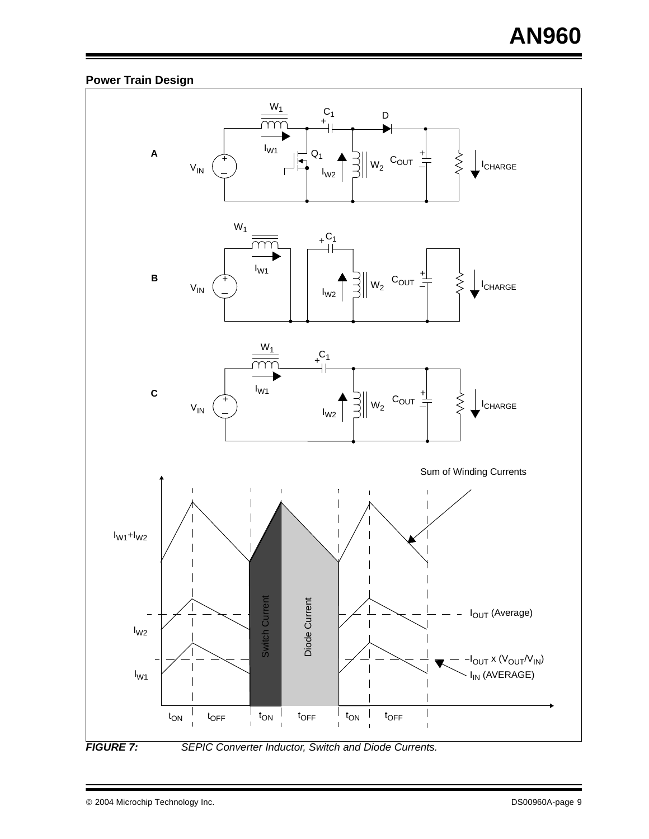#### **Power Train Design**

<span id="page-8-0"></span>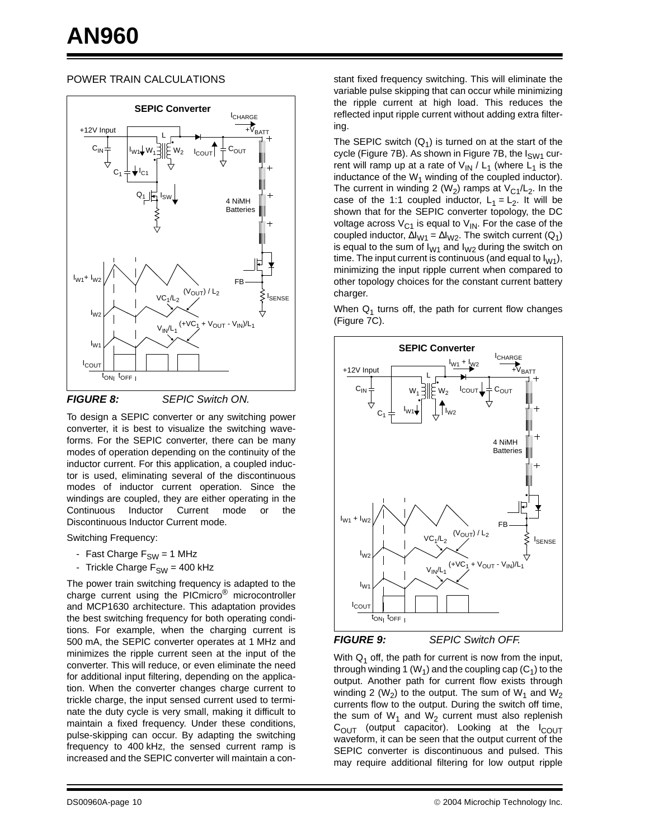#### POWER TRAIN CALCULATIONS



**FIGURE 8:** SEPIC Switch ON.

To design a SEPIC converter or any switching power converter, it is best to visualize the switching waveforms. For the SEPIC converter, there can be many modes of operation depending on the continuity of the inductor current. For this application, a coupled inductor is used, eliminating several of the discontinuous modes of inductor current operation. Since the windings are coupled, they are either operating in the Continuous Inductor Current mode or the Discontinuous Inductor Current mode.

Switching Frequency:

- Fast Charge  $F_{SW} = 1$  MHz
- Trickle Charge  $F_{SW}$  = 400 kHz

The power train switching frequency is adapted to the charge current using the PICmicro<sup>®</sup> microcontroller and MCP1630 architecture. This adaptation provides the best switching frequency for both operating conditions. For example, when the charging current is 500 mA, the SEPIC converter operates at 1 MHz and minimizes the ripple current seen at the input of the converter. This will reduce, or even eliminate the need for additional input filtering, depending on the application. When the converter changes charge current to trickle charge, the input sensed current used to terminate the duty cycle is very small, making it difficult to maintain a fixed frequency. Under these conditions, pulse-skipping can occur. By adapting the switching frequency to 400 kHz, the sensed current ramp is increased and the SEPIC converter will maintain a constant fixed frequency switching. This will eliminate the variable pulse skipping that can occur while minimizing the ripple current at high load. This reduces the reflected input ripple current without adding extra filtering.

The SEPIC switch  $(Q_1)$  is turned on at the start of the cycle ([Figure 7B](#page-8-0)). As shown in [Figure 7](#page-8-0)B, the  $I<sub>SWA</sub>$  current will ramp up at a rate of  $V_{IN}$  /  $L_1$  (where  $L_1$  is the inductance of the  $W_1$  winding of the coupled inductor). The current in winding 2 (W<sub>2</sub>) ramps at  $V_{C1}/L_2$ . In the case of the 1:1 coupled inductor,  $L_1 = L_2$ . It will be shown that for the SEPIC converter topology, the DC voltage across  $V_{C1}$  is equal to  $V_{IN}$ . For the case of the coupled inductor,  $\Delta I_{W1} = \Delta I_{W2}$ . The switch current (Q<sub>1</sub>) is equal to the sum of  $I_{W1}$  and  $I_{W2}$  during the switch on time. The input current is continuous (and equal to  $I_{W1}$ ), minimizing the input ripple current when compared to other topology choices for the constant current battery charger.

When  $Q_1$  turns off, the path for current flow changes ([Figure 7C](#page-8-0)).





With  $Q_1$  off, the path for current is now from the input, through winding 1 (W<sub>1</sub>) and the coupling cap (C<sub>1</sub>) to the output. Another path for current flow exists through winding 2 ( $W_2$ ) to the output. The sum of  $W_1$  and  $W_2$ currents flow to the output. During the switch off time, the sum of  $W_1$  and  $W_2$  current must also replenish  $C<sub>OUT</sub>$  (output capacitor). Looking at the  $I<sub>COUT</sub>$ waveform, it can be seen that the output current of the SEPIC converter is discontinuous and pulsed. This may require additional filtering for low output ripple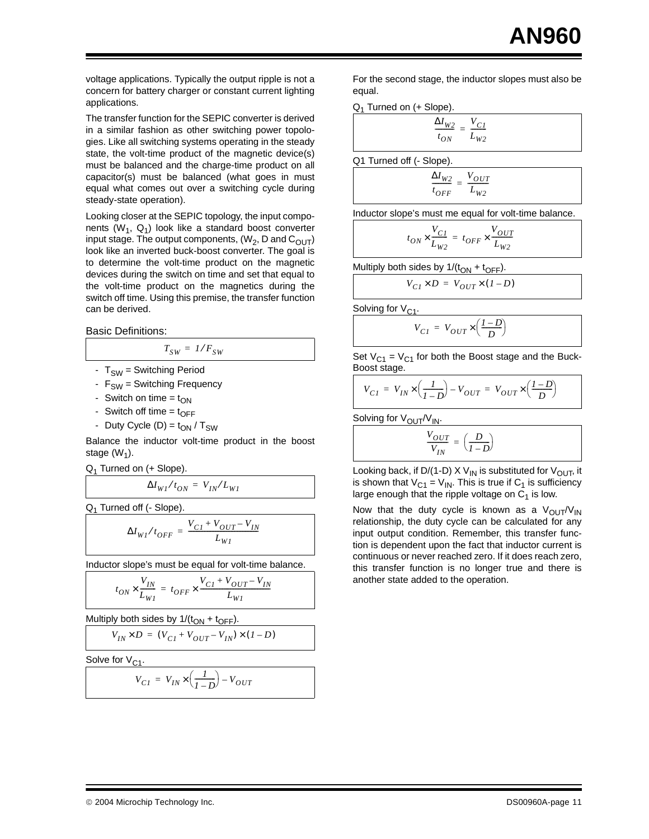voltage applications. Typically the output ripple is not a concern for battery charger or constant current lighting applications.

The transfer function for the SEPIC converter is derived in a similar fashion as other switching power topologies. Like all switching systems operating in the steady state, the volt-time product of the magnetic device(s) must be balanced and the charge-time product on all capacitor(s) must be balanced (what goes in must equal what comes out over a switching cycle during steady-state operation).

Looking closer at the SEPIC topology, the input components ( $W_1$ ,  $Q_1$ ) look like a standard boost converter input stage. The output components,  $(W_2, D \text{ and } C_{OUT})$ look like an inverted buck-boost converter. The goal is to determine the volt-time product on the magnetic devices during the switch on time and set that equal to the volt-time product on the magnetics during the switch off time. Using this premise, the transfer function can be derived.

 $T_{SW} = 1/F_{SW}$ 

Basic Definitions:

- $T_{SW}$  = Switching Period
- $F_{SW}$  = Switching Frequency
- Switch on time =  $t_{ON}$
- Switch off time =  $t_{\text{OFF}}$
- Duty Cycle (D) =  $t_{ON}$  / T<sub>SW</sub>

Balance the inductor volt-time product in the boost stage  $(W_1)$ .

 $Q_1$  Turned on (+ Slope).

$$
\Delta I_{WI}/t_{ON} = V_{IN}/L_{WI}
$$

 $Q_1$  Turned off (- Slope).

$$
\Delta I_{WI}/t_{OFF} = \frac{V_{CI} + V_{OUT} - V_{IN}}{L_{WI}}
$$

Inductor slope's must be equal for volt-time balance.

$$
t_{ON} \times \frac{V_{IN}}{L_{WI}} = t_{OFF} \times \frac{V_{CI} + V_{OUT} - V_{IN}}{L_{WI}}
$$

Multiply both sides by  $1/(t_{ON} + t_{OFF})$ .

$$
V_{IN} \times D = (V_{CI} + V_{OUT} - V_{IN}) \times (1 - D)
$$

Solve for  $V_{C1}$ .

$$
V_{CI} = V_{IN} \times \left(\frac{1}{I - D}\right) - V_{OUT}
$$

For the second stage, the inductor slopes must also be equal.

Q1 Turned on (+ Slope).

$$
\frac{\Delta I_{W2}}{t_{ON}} = \frac{V_{CI}}{L_{W2}}
$$

Q1 Turned off (- Slope).

$$
\frac{\Delta I_{W2}}{t_{OFF}} = \frac{V_{OUT}}{L_{W2}}
$$

Inductor slope's must me equal for volt-time balance.

$$
t_{ON} \times \frac{V_{C1}}{L_{W2}} = t_{OFF} \times \frac{V_{OUT}}{L_{W2}}
$$

Multiply both sides by  $1/(t_{ON} + t_{OFF})$ .

$$
V_{CI} \times D = V_{OUT} \times (I - D)
$$

Solving for  $V_{C1}$ .

$$
V_{CI} = V_{OUT} \times \left(\frac{I - D}{D}\right)
$$

Set  $V_{C1} = V_{C1}$  for both the Boost stage and the Buck-Boost stage.

$$
V_{CI} = V_{IN} \times \left(\frac{1}{1 - D}\right) - V_{OUT} = V_{OUT} \times \left(\frac{1 - D}{D}\right)
$$

Solving for  $V_{\text{OUT}}/V_{\text{IN}}$ .

$$
\frac{V_{OUT}}{V_{IN}} = \left(\frac{D}{I - D}\right)
$$

Looking back, if D/(1-D) X V<sub>IN</sub> is substituted for V<sub>OUT</sub>, it is shown that  $V_{C1} = V_{IN}$ . This is true if  $C_1$  is sufficiency large enough that the ripple voltage on  $C_1$  is low.

Now that the duty cycle is known as a  $V_{\text{OUT}}/V_{\text{IN}}$ relationship, the duty cycle can be calculated for any input output condition. Remember, this transfer function is dependent upon the fact that inductor current is continuous or never reached zero. If it does reach zero, this transfer function is no longer true and there is another state added to the operation.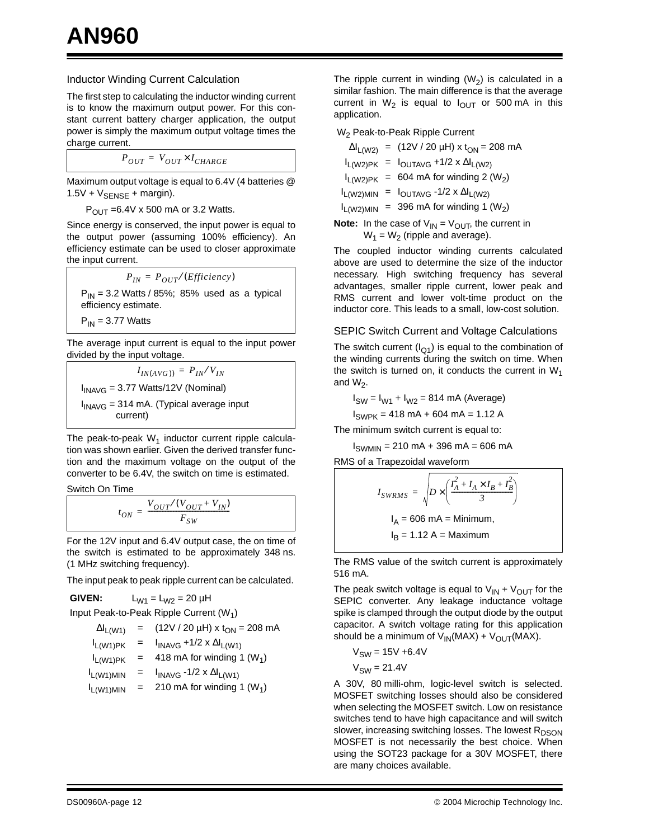#### Inductor Winding Current Calculation

The first step to calculating the inductor winding current is to know the maximum output power. For this constant current battery charger application, the output power is simply the maximum output voltage times the charge current.

$$
P_{OUT} = V_{OUT} \times I_{CHARGE}
$$

Maximum output voltage is equal to 6.4V (4 batteries @  $1.5V + V_{\text{SENSE}} + \text{margin}$ .

 $P_{\text{OUT}} = 6.4V \times 500 \text{ mA or } 3.2 \text{ Watts.}$ 

Since energy is conserved, the input power is equal to the output power (assuming 100% efficiency). An efficiency estimate can be used to closer approximate the input current.

$$
P_{IN} = P_{OUT}/(Efficiency)
$$
  
P<sub>IN</sub> = 3.2 Watts / 85%; 85% used as a typical efficiency estimate.

 $P_{IN}$  = 3.77 Watts

The average input current is equal to the input power divided by the input voltage.

 $I_{IN(AVG)} = P_{IN}/V_{IN}$  $I_{INAVG}$  = 3.77 Watts/12V (Nominal)  $I_{INAVG}$  = 314 mA. (Typical average input current)

The peak-to-peak  $W_1$  inductor current ripple calculation was shown earlier. Given the derived transfer function and the maximum voltage on the output of the converter to be 6.4V, the switch on time is estimated.

Switch On Time

$$
t_{ON} = \frac{V_{OUT}/(V_{OUT} + V_{IN})}{F_{SW}}
$$

For the 12V input and 6.4V output case, the on time of the switch is estimated to be approximately 348 ns. (1 MHz switching frequency).

The input peak to peak ripple current can be calculated.

**GIVEN:**  $L_{W1} = L_{W2} = 20 \mu H$ Input Peak-to-Peak Ripple Current (W<sub>1</sub>)

| $\Delta I_{L(W1)}$ | $=$ | $(12V / 20 \mu H)$ x t <sub>ON</sub> = 208 mA |
|--------------------|-----|-----------------------------------------------|
|                    |     |                                               |

$$
I_{L(W1)PK} = I_{INAVG} + 1/2 \times \Delta I_{L(W1)}
$$
  
\n
$$
I_{L(W1)PK} = 418 \text{ mA for winding 1 (W1)}
$$
  
\n
$$
I_{L(W1)MIN} = I_{INAVG} - 1/2 \times \Delta I_{L(W1)}
$$

 $I_{L(W1)MIN}$  = 210 mA for winding 1 (W<sub>1</sub>)

The ripple current in winding  $(W_2)$  is calculated in a similar fashion. The main difference is that the average current in  $W_2$  is equal to  $I_{\text{OUT}}$  or 500 mA in this application.

W<sub>2</sub> Peak-to-Peak Ripple Current

|                                                                                                                               |  | $\Delta I_{L(W2)}$ = (12V / 20 µH) x t <sub>ON</sub> = 208 mA |  |  |
|-------------------------------------------------------------------------------------------------------------------------------|--|---------------------------------------------------------------|--|--|
|                                                                                                                               |  | $I_{L(W2)PK} = I_{OUTAVG} + 1/2 \times \Delta I_{L(W2)}$      |  |  |
|                                                                                                                               |  | $I_{L(W2)PK}$ = 604 mA for winding 2 (W <sub>2</sub> )        |  |  |
|                                                                                                                               |  | $I_{L(W2)MIN}$ = $I_{OUTAVG} -1/2 \times \Delta I_{L(W2)}$    |  |  |
|                                                                                                                               |  | $I_{L(W2)MIN}$ = 396 mA for winding 1 (W <sub>2</sub> )       |  |  |
| $\mathsf{a}\mathsf{t}\mathsf{a}\mathsf{t}$ . In the case of $V_{\mathsf{u}}$ , $\mathsf{u} = V_{\mathsf{u}}$ , the current in |  |                                                               |  |  |

**Note:** In the case of  $V_{IN} = V_{OUT}$ , the current in  $W_1 = W_2$  (ripple and average).

The coupled inductor winding currents calculated above are used to determine the size of the inductor necessary. High switching frequency has several advantages, smaller ripple current, lower peak and RMS current and lower volt-time product on the inductor core. This leads to a small, low-cost solution.

#### SEPIC Switch Current and Voltage Calculations

The switch current  $(I_{Q1})$  is equal to the combination of the winding currents during the switch on time. When the switch is turned on, it conducts the current in  $W_1$ and  $W_2$ .

$$
I_{SW} = I_{W1} + I_{W2} = 814
$$
 mA (Average)

 $I_{SWPK}$  = 418 mA + 604 mA = 1.12 A

The minimum switch current is equal to:

 $I_{SWMIN}$  = 210 mA + 396 mA = 606 mA

RMS of a Trapezoidal waveform

$$
I_{SWRMS} = \sqrt{D \times \left(\frac{I_A^2 + I_A \times I_B + I_B^2}{3}\right)}
$$
  
\n
$$
I_A = 606 \text{ mA} = \text{Minimum},
$$
  
\n
$$
I_B = 1.12 \text{ A} = \text{Maximum}
$$

The RMS value of the switch current is approximately 516 mA.

The peak switch voltage is equal to  $V_{IN} + V_{OUT}$  for the SEPIC converter. Any leakage inductance voltage spike is clamped through the output diode by the output capacitor. A switch voltage rating for this application should be a minimum of  $V_{IN}(MAX) + V_{OUT}(MAX)$ .

$$
V_{SW} = 15V + 6.4V
$$

$$
V_{\text{SW}} = 21.4 \text{V}
$$

A 30V, 80 milli-ohm, logic-level switch is selected. MOSFET switching losses should also be considered when selecting the MOSFET switch. Low on resistance switches tend to have high capacitance and will switch slower, increasing switching losses. The lowest  $R_{DSON}$ MOSFET is not necessarily the best choice. When using the SOT23 package for a 30V MOSFET, there are many choices available.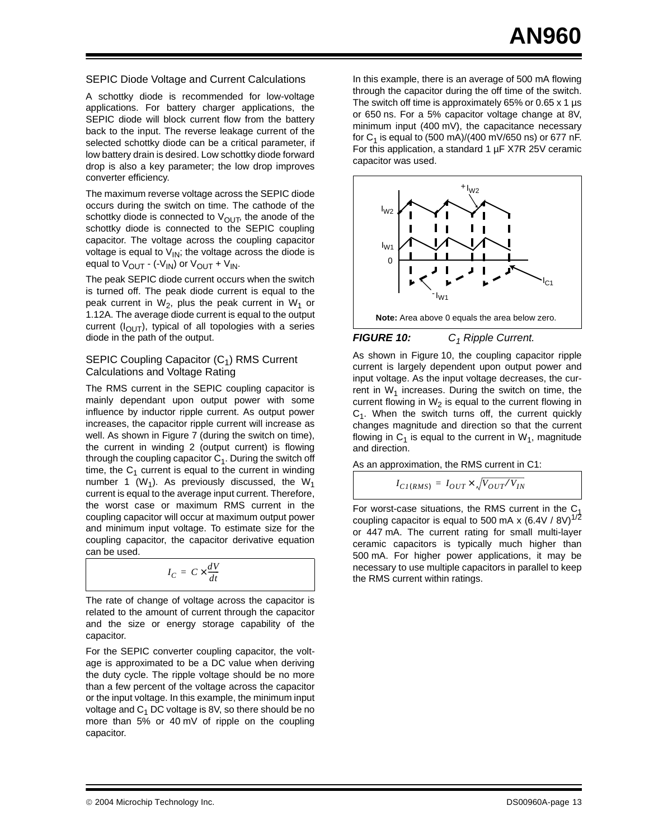#### SEPIC Diode Voltage and Current Calculations

A schottky diode is recommended for low-voltage applications. For battery charger applications, the SEPIC diode will block current flow from the battery back to the input. The reverse leakage current of the selected schottky diode can be a critical parameter, if low battery drain is desired. Low schottky diode forward drop is also a key parameter; the low drop improves converter efficiency.

The maximum reverse voltage across the SEPIC diode occurs during the switch on time. The cathode of the schottky diode is connected to  $V_{\text{OUT}}$ , the anode of the schottky diode is connected to the SEPIC coupling capacitor. The voltage across the coupling capacitor voltage is equal to  $V_{\text{IN}}$ ; the voltage across the diode is equal to  $V_{\text{OUT}}$  - (- $V_{\text{IN}}$ ) or  $V_{\text{OUT}}$  +  $V_{\text{IN}}$ .

The peak SEPIC diode current occurs when the switch is turned off. The peak diode current is equal to the peak current in  $W_2$ , plus the peak current in  $W_1$  or 1.12A. The average diode current is equal to the output current  $(I_{\Omega \cup T})$ , typical of all topologies with a series diode in the path of the output.

#### SEPIC Coupling Capacitor  $(C_1)$  RMS Current Calculations and Voltage Rating

The RMS current in the SEPIC coupling capacitor is mainly dependant upon output power with some influence by inductor ripple current. As output power increases, the capacitor ripple current will increase as well. As shown in [Figure 7](#page-8-0) (during the switch on time), the current in winding 2 (output current) is flowing through the coupling capacitor  $C_1$ . During the switch off time, the  $C_1$  current is equal to the current in winding number 1 (W<sub>1</sub>). As previously discussed, the W<sub>1</sub> current is equal to the average input current. Therefore, the worst case or maximum RMS current in the coupling capacitor will occur at maximum output power and minimum input voltage. To estimate size for the coupling capacitor, the capacitor derivative equation can be used.

$$
I_C = C \times \frac{dV}{dt}
$$

The rate of change of voltage across the capacitor is related to the amount of current through the capacitor and the size or energy storage capability of the capacitor.

For the SEPIC converter coupling capacitor, the voltage is approximated to be a DC value when deriving the duty cycle. The ripple voltage should be no more than a few percent of the voltage across the capacitor or the input voltage. In this example, the minimum input voltage and  $C_1$  DC voltage is 8V, so there should be no more than 5% or 40 mV of ripple on the coupling capacitor.

In this example, there is an average of 500 mA flowing through the capacitor during the off time of the switch. The switch off time is approximately 65% or 0.65 x 1 µs or 650 ns. For a 5% capacitor voltage change at 8V, minimum input (400 mV), the capacitance necessary for  $C_1$  is equal to (500 mA)/(400 mV/650 ns) or 677 nF. For this application, a standard 1 µF X7R 25V ceramic capacitor was used.



#### <span id="page-12-0"></span>**FIGURE 10:** C<sub>1</sub> Ripple Current.

As shown in [Figure 10](#page-12-0), the coupling capacitor ripple current is largely dependent upon output power and input voltage. As the input voltage decreases, the current in  $W_1$  increases. During the switch on time, the current flowing in  $W_2$  is equal to the current flowing in  $C_1$ . When the switch turns off, the current quickly changes magnitude and direction so that the current flowing in  $C_1$  is equal to the current in  $W_1$ , magnitude and direction.

As an approximation, the RMS current in C1:

$$
I_{CI(RMS)} = I_{OUT} \times \sqrt{V_{OUT}/V_{IN}}
$$

For worst-case situations, the RMS current in the  $C_1$ coupling capacitor is equal to 500 mA x (6.4V / 8V)<sup>1/2</sup> or 447 mA. The current rating for small multi-layer ceramic capacitors is typically much higher than 500 mA. For higher power applications, it may be  $I_C = C \times \frac{dV}{dt}$  **c** is the RMS current within ratings.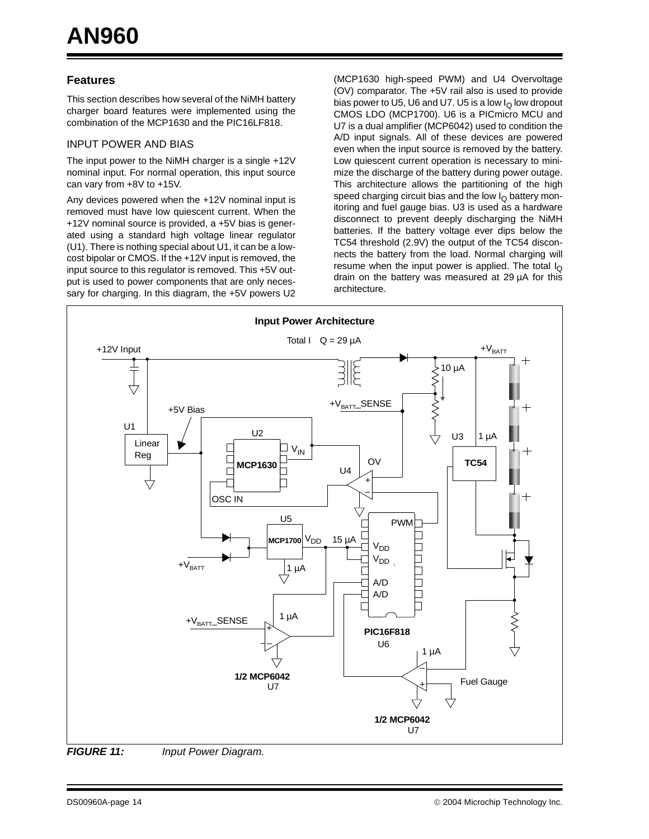#### **Features**

This section describes how several of the NiMH battery charger board features were implemented using the combination of the MCP1630 and the PIC16LF818.

#### INPUT POWER AND BIAS

The input power to the NiMH charger is a single +12V nominal input. For normal operation, this input source can vary from +8V to +15V.

Any devices powered when the +12V nominal input is removed must have low quiescent current. When the +12V nominal source is provided, a +5V bias is generated using a standard high voltage linear regulator (U1). There is nothing special about U1, it can be a lowcost bipolar or CMOS. If the +12V input is removed, the input source to this regulator is removed. This +5V output is used to power components that are only necessary for charging. In this diagram, the +5V powers U2

(MCP1630 high-speed PWM) and U4 Overvoltage (OV) comparator. The +5V rail also is used to provide bias power to U5, U6 and U7. U5 is a low  $I<sub>O</sub>$  low dropout CMOS LDO (MCP1700). U6 is a PICmicro MCU and U7 is a dual amplifier (MCP6042) used to condition the A/D input signals. All of these devices are powered even when the input source is removed by the battery. Low quiescent current operation is necessary to minimize the discharge of the battery during power outage. This architecture allows the partitioning of the high speed charging circuit bias and the low  $I<sub>O</sub>$  battery monitoring and fuel gauge bias. U3 is used as a hardware disconnect to prevent deeply discharging the NiMH batteries. If the battery voltage ever dips below the TC54 threshold (2.9V) the output of the TC54 disconnects the battery from the load. Normal charging will resume when the input power is applied. The total  $I_{\Omega}$ drain on the battery was measured at 29 µA for this architecture.



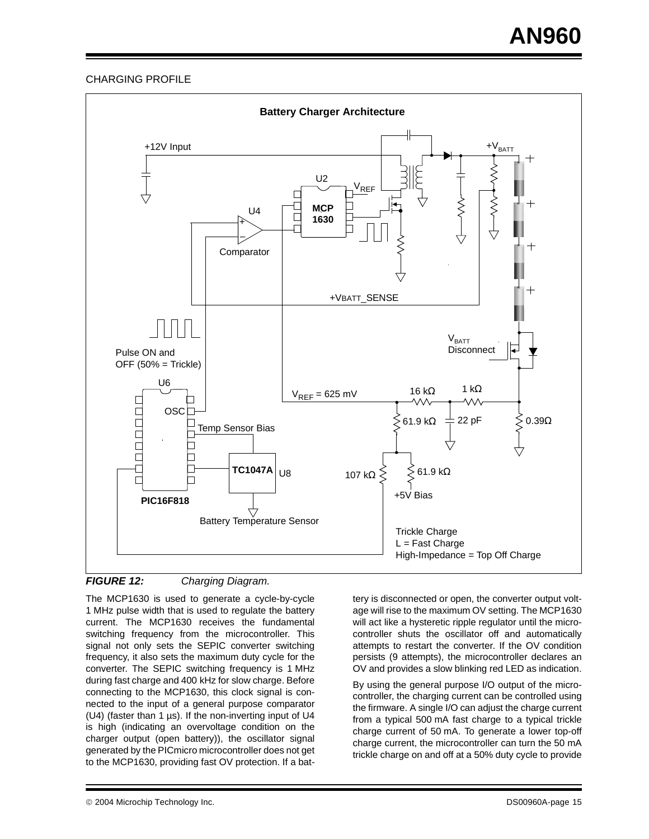#### CHARGING PROFILE



**FIGURE 12:** Charging Diagram.

The MCP1630 is used to generate a cycle-by-cycle 1 MHz pulse width that is used to regulate the battery current. The MCP1630 receives the fundamental switching frequency from the microcontroller. This signal not only sets the SEPIC converter switching frequency, it also sets the maximum duty cycle for the converter. The SEPIC switching frequency is 1 MHz during fast charge and 400 kHz for slow charge. Before connecting to the MCP1630, this clock signal is connected to the input of a general purpose comparator (U4) (faster than 1 µs). If the non-inverting input of U4 is high (indicating an overvoltage condition on the charger output (open battery)), the oscillator signal generated by the PICmicro microcontroller does not get to the MCP1630, providing fast OV protection. If a battery is disconnected or open, the converter output voltage will rise to the maximum OV setting. The MCP1630 will act like a hysteretic ripple regulator until the microcontroller shuts the oscillator off and automatically attempts to restart the converter. If the OV condition persists (9 attempts), the microcontroller declares an OV and provides a slow blinking red LED as indication.

By using the general purpose I/O output of the microcontroller, the charging current can be controlled using the firmware. A single I/O can adjust the charge current from a typical 500 mA fast charge to a typical trickle charge current of 50 mA. To generate a lower top-off charge current, the microcontroller can turn the 50 mA trickle charge on and off at a 50% duty cycle to provide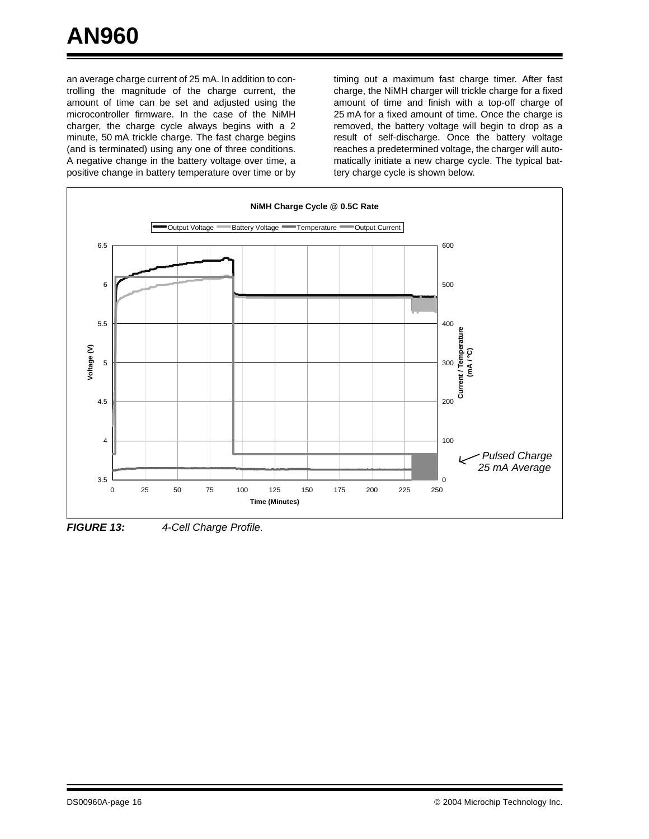an average charge current of 25 mA. In addition to controlling the magnitude of the charge current, the amount of time can be set and adjusted using the microcontroller firmware. In the case of the NiMH charger, the charge cycle always begins with a 2 minute, 50 mA trickle charge. The fast charge begins (and is terminated) using any one of three conditions. A negative change in the battery voltage over time, a positive change in battery temperature over time or by

timing out a maximum fast charge timer. After fast charge, the NiMH charger will trickle charge for a fixed amount of time and finish with a top-off charge of 25 mA for a fixed amount of time. Once the charge is removed, the battery voltage will begin to drop as a result of self-discharge. Once the battery voltage reaches a predetermined voltage, the charger will automatically initiate a new charge cycle. The typical battery charge cycle is shown below.



**FIGURE 13:** 4-Cell Charge Profile.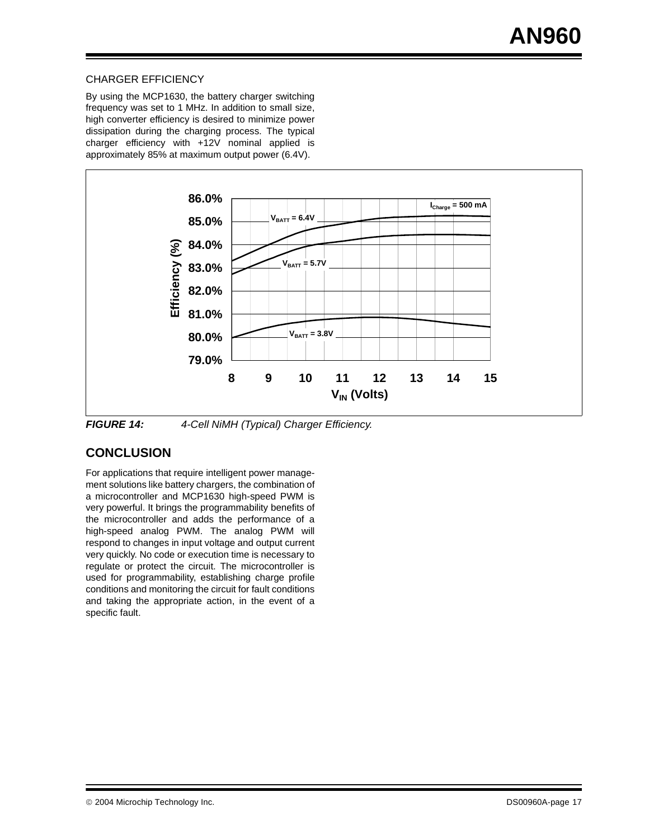#### CHARGER EFFICIENCY

By using the MCP1630, the battery charger switching frequency was set to 1 MHz. In addition to small size, high converter efficiency is desired to minimize power dissipation during the charging process. The typical charger efficiency with +12V nominal applied is approximately 85% at maximum output power (6.4V).



**FIGURE 14:** 4-Cell NiMH (Typical) Charger Efficiency.

### **CONCLUSION**

For applications that require intelligent power management solutions like battery chargers, the combination of a microcontroller and MCP1630 high-speed PWM is very powerful. It brings the programmability benefits of the microcontroller and adds the performance of a high-speed analog PWM. The analog PWM will respond to changes in input voltage and output current very quickly. No code or execution time is necessary to regulate or protect the circuit. The microcontroller is used for programmability, establishing charge profile conditions and monitoring the circuit for fault conditions and taking the appropriate action, in the event of a specific fault.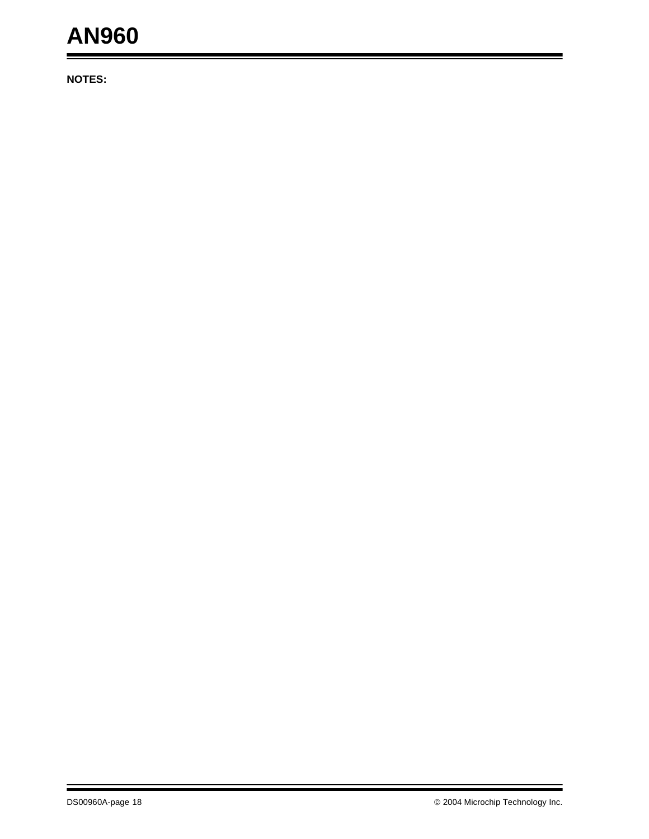## **AN960**

**NOTES:**

ä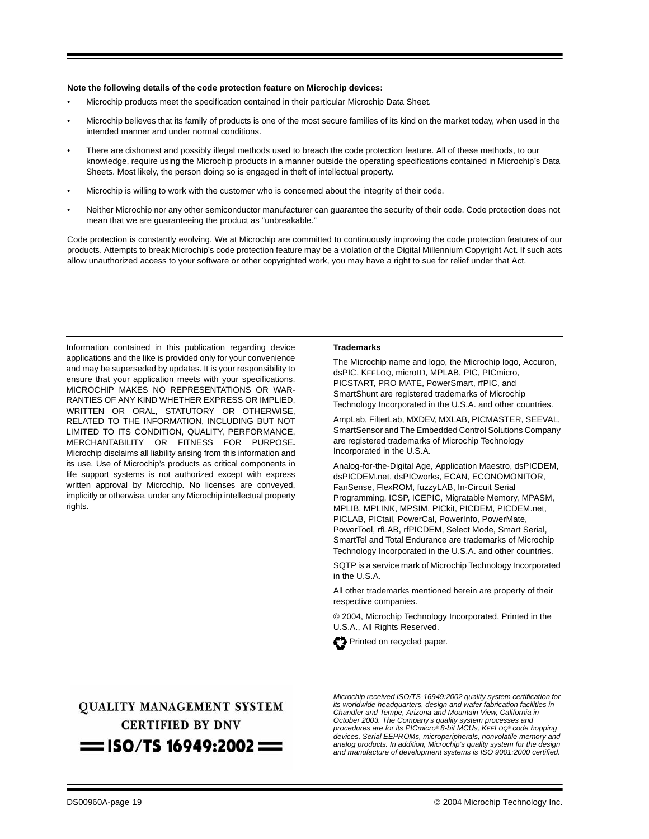#### **Note the following details of the code protection feature on Microchip devices:**

- Microchip products meet the specification contained in their particular Microchip Data Sheet.
- Microchip believes that its family of products is one of the most secure families of its kind on the market today, when used in the intended manner and under normal conditions.
- There are dishonest and possibly illegal methods used to breach the code protection feature. All of these methods, to our knowledge, require using the Microchip products in a manner outside the operating specifications contained in Microchip's Data Sheets. Most likely, the person doing so is engaged in theft of intellectual property.
- Microchip is willing to work with the customer who is concerned about the integrity of their code.
- Neither Microchip nor any other semiconductor manufacturer can guarantee the security of their code. Code protection does not mean that we are guaranteeing the product as "unbreakable."

Code protection is constantly evolving. We at Microchip are committed to continuously improving the code protection features of our products. Attempts to break Microchip's code protection feature may be a violation of the Digital Millennium Copyright Act. If such acts allow unauthorized access to your software or other copyrighted work, you may have a right to sue for relief under that Act.

Information contained in this publication regarding device applications and the like is provided only for your convenience and may be superseded by updates. It is your responsibility to ensure that your application meets with your specifications. MICROCHIP MAKES NO REPRESENTATIONS OR WAR-RANTIES OF ANY KIND WHETHER EXPRESS OR IMPLIED, WRITTEN OR ORAL, STATUTORY OR OTHERWISE, RELATED TO THE INFORMATION, INCLUDING BUT NOT LIMITED TO ITS CONDITION, QUALITY, PERFORMANCE, MERCHANTABILITY OR FITNESS FOR PURPOSE**.** Microchip disclaims all liability arising from this information and its use. Use of Microchip's products as critical components in life support systems is not authorized except with express written approval by Microchip. No licenses are conveyed, implicitly or otherwise, under any Microchip intellectual property rights.

#### **Trademarks**

The Microchip name and logo, the Microchip logo, Accuron, dsPIC, KEELOQ, microID, MPLAB, PIC, PICmicro, PICSTART, PRO MATE, PowerSmart, rfPIC, and SmartShunt are registered trademarks of Microchip Technology Incorporated in the U.S.A. and other countries.

AmpLab, FilterLab, MXDEV, MXLAB, PICMASTER, SEEVAL, SmartSensor and The Embedded Control Solutions Company are registered trademarks of Microchip Technology Incorporated in the U.S.A.

Analog-for-the-Digital Age, Application Maestro, dsPICDEM, dsPICDEM.net, dsPICworks, ECAN, ECONOMONITOR, FanSense, FlexROM, fuzzyLAB, In-Circuit Serial Programming, ICSP, ICEPIC, Migratable Memory, MPASM, MPLIB, MPLINK, MPSIM, PICkit, PICDEM, PICDEM.net, PICLAB, PICtail, PowerCal, PowerInfo, PowerMate, PowerTool, rfLAB, rfPICDEM, Select Mode, Smart Serial, SmartTel and Total Endurance are trademarks of Microchip Technology Incorporated in the U.S.A. and other countries.

SQTP is a service mark of Microchip Technology Incorporated in the U.S.A.

All other trademarks mentioned herein are property of their respective companies.

© 2004, Microchip Technology Incorporated, Printed in the U.S.A., All Rights Reserved.



**OUALITY MANAGEMENT SYSTEM CERTIFIED BY DNV**  $=$  ISO/TS 16949:2002  $=$ 

Microchip received ISO/TS-16949:2002 quality system certification for its worldwide headquarters, design and wafer fabrication facilities in Chandler and Tempe, Arizona and Mountain View, California in October 2003. The Company's quality system processes and procedures are for its PICmicro® 8-bit MCUs, KEELOQ® code hopping devices, Serial EEPROMs, microperipherals, nonvolatile memory and analog products. In addition, Microchip's quality system for the design and manufacture of development systems is ISO 9001:2000 certified.